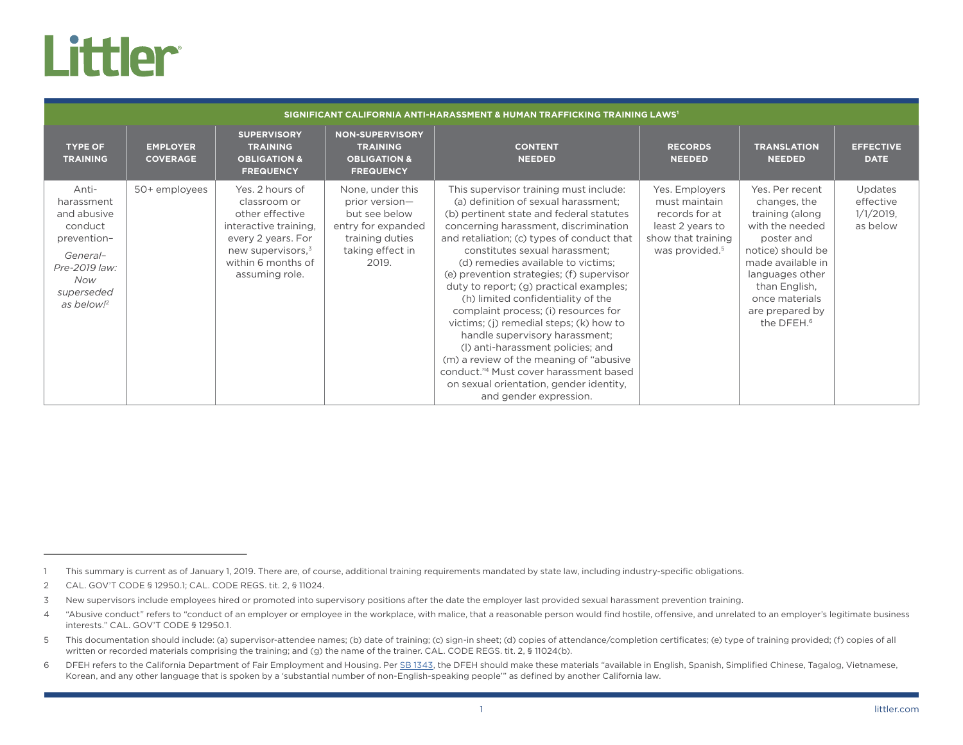## **Littler**

| SIGNIFICANT CALIFORNIA ANTI-HARASSMENT & HUMAN TRAFFICKING TRAINING LAWS'                                                                |                                    |                                                                                                                                                                   |                                                                                                                           |                                                                                                                                                                                                                                                                                                                                                                                                                                                                                                                                                                                                                                                                                                                                              |                                                                                                                           |                                                                                                                                                                                                                                  |                                                  |  |
|------------------------------------------------------------------------------------------------------------------------------------------|------------------------------------|-------------------------------------------------------------------------------------------------------------------------------------------------------------------|---------------------------------------------------------------------------------------------------------------------------|----------------------------------------------------------------------------------------------------------------------------------------------------------------------------------------------------------------------------------------------------------------------------------------------------------------------------------------------------------------------------------------------------------------------------------------------------------------------------------------------------------------------------------------------------------------------------------------------------------------------------------------------------------------------------------------------------------------------------------------------|---------------------------------------------------------------------------------------------------------------------------|----------------------------------------------------------------------------------------------------------------------------------------------------------------------------------------------------------------------------------|--------------------------------------------------|--|
| <b>TYPE OF</b><br><b>TRAINING</b>                                                                                                        | <b>EMPLOYER</b><br><b>COVERAGE</b> | <b>SUPERVISORY</b><br><b>TRAINING</b><br><b>OBLIGATION &amp;</b><br><b>FREQUENCY</b>                                                                              | <b>NON-SUPERVISORY</b><br><b>TRAINING</b><br><b>OBLIGATION &amp;</b><br><b>FREQUENCY</b>                                  | <b>CONTENT</b><br><b>NEEDED</b>                                                                                                                                                                                                                                                                                                                                                                                                                                                                                                                                                                                                                                                                                                              | <b>RECORDS</b><br><b>NEEDED</b>                                                                                           | <b>TRANSLATION</b><br><b>NEEDED</b>                                                                                                                                                                                              | <b>EFFECTIVE</b><br><b>DATE</b>                  |  |
| Anti-<br>harassment<br>and abusive<br>conduct<br>prevention-<br>General-<br>Pre-2019 law:<br>Now<br>superseded<br>as below! <sup>2</sup> | 50+ employees                      | Yes, 2 hours of<br>classroom or<br>other effective<br>interactive training.<br>every 2 years. For<br>new supervisors, $3$<br>within 6 months of<br>assuming role. | None, under this<br>prior version-<br>but see below<br>entry for expanded<br>training duties<br>taking effect in<br>2019. | This supervisor training must include:<br>(a) definition of sexual harassment;<br>(b) pertinent state and federal statutes<br>concerning harassment, discrimination<br>and retaliation; (c) types of conduct that<br>constitutes sexual harassment;<br>(d) remedies available to victims;<br>(e) prevention strategies; (f) supervisor<br>duty to report; (g) practical examples;<br>(h) limited confidentiality of the<br>complaint process; (i) resources for<br>victims; (j) remedial steps; (k) how to<br>handle supervisory harassment;<br>(I) anti-harassment policies; and<br>(m) a review of the meaning of "abusive"<br>conduct."4 Must cover harassment based<br>on sexual orientation, gender identity,<br>and gender expression. | Yes. Employers<br>must maintain<br>records for at<br>least 2 years to<br>show that training<br>was provided. <sup>5</sup> | Yes. Per recent<br>changes, the<br>training (along<br>with the needed<br>poster and<br>notice) should be<br>made available in<br>languages other<br>than English.<br>once materials<br>are prepared by<br>the DFEH. <sup>6</sup> | Updates<br>effective<br>$1/1/2019$ ,<br>as below |  |

<sup>1</sup> This summary is current as of January 1, 2019. There are, of course, additional training requirements mandated by state law, including industry-specific obligations.

<sup>2</sup> CAL. GOV'T CODE § 12950.1; CAL. CODE REGS. tit. 2, § 11024.

<sup>3</sup> New supervisors include employees hired or promoted into supervisory positions after the date the employer last provided sexual harassment prevention training.

<sup>4 &</sup>quot;Abusive conduct" refers to "conduct of an employer or employee in the workplace, with malice, that a reasonable person would find hostile, offensive, and unrelated to an employer's legitimate business interests." CAL. GOV'T CODE § 12950.1.

<sup>5</sup> This documentation should include: (a) supervisor-attendee names; (b) date of training; (c) sign-in sheet; (d) copies of attendance/completion certificates; (e) type of training provided; (f) copies of all written or recorded materials comprising the training; and (g) the name of the trainer. CAL. CODE REGS. tit. 2, § 11024(b).

<sup>6</sup> DFEH refers to the California Department of Fair Employment and Housing. Per [SB 1343](http://leginfo.legislature.ca.gov/faces/billTextClient.xhtml?bill_id=201720180SB1343), the DFEH should make these materials "available in English, Spanish, Simplified Chinese, Tagalog, Vietnamese, Korean, and any other language that is spoken by a 'substantial number of non-English-speaking people'" as defined by another California law.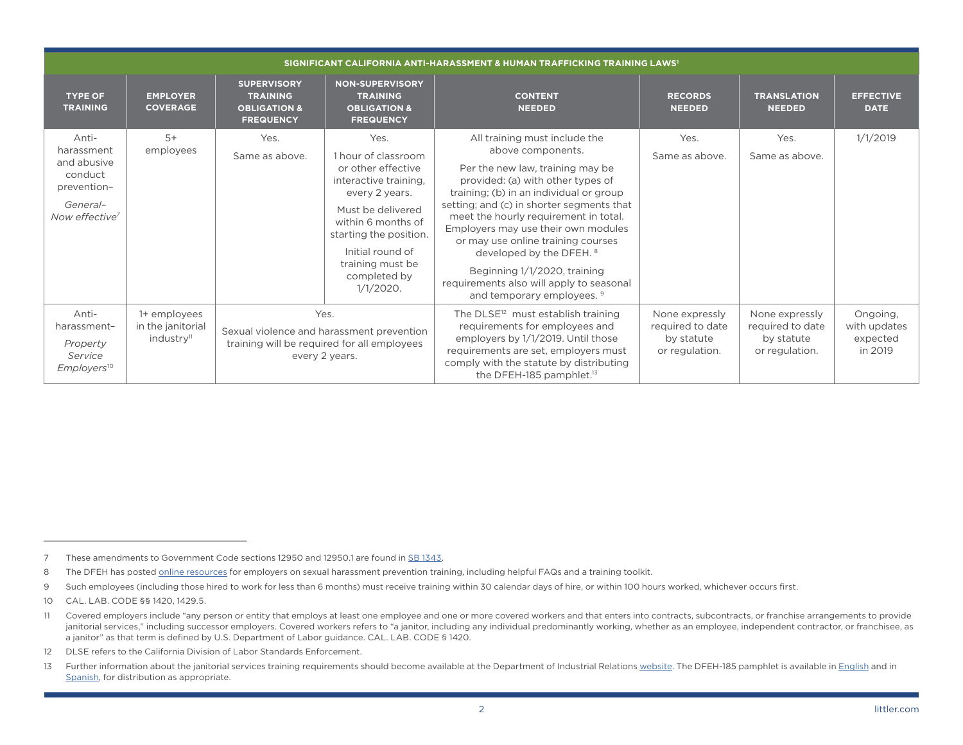| SIGNIFICANT CALIFORNIA ANTI-HARASSMENT & HUMAN TRAFFICKING TRAINING LAWS'                              |                                                             |                                                                                                                    |                                                                                                                                                                                                                                           |                                                                                                                                                                                                                                                                                                                                                                                                                                                                                 |                                                                    |                                                                    |                                                 |
|--------------------------------------------------------------------------------------------------------|-------------------------------------------------------------|--------------------------------------------------------------------------------------------------------------------|-------------------------------------------------------------------------------------------------------------------------------------------------------------------------------------------------------------------------------------------|---------------------------------------------------------------------------------------------------------------------------------------------------------------------------------------------------------------------------------------------------------------------------------------------------------------------------------------------------------------------------------------------------------------------------------------------------------------------------------|--------------------------------------------------------------------|--------------------------------------------------------------------|-------------------------------------------------|
| <b>TYPE OF</b><br><b>TRAINING</b>                                                                      | <b>EMPLOYER</b><br><b>COVERAGE</b>                          | <b>SUPERVISORY</b><br><b>TRAINING</b><br><b>OBLIGATION &amp;</b><br><b>FREQUENCY</b>                               | <b>NON-SUPERVISORY</b><br><b>TRAINING</b><br><b>OBLIGATION &amp;</b><br><b>FREQUENCY</b>                                                                                                                                                  | <b>CONTENT</b><br><b>NEEDED</b>                                                                                                                                                                                                                                                                                                                                                                                                                                                 | <b>RECORDS</b><br><b>NEEDED</b>                                    | <b>TRANSLATION</b><br><b>NEEDED</b>                                | <b>EFFECTIVE</b><br><b>DATE</b>                 |
| Anti-<br>harassment<br>and abusive<br>conduct<br>prevention-<br>General-<br>Now effective <sup>7</sup> | $5+$<br>employees                                           | Yes.<br>Same as above.                                                                                             | Yes.<br>1 hour of classroom<br>or other effective<br>interactive training,<br>every 2 years.<br>Must be delivered<br>within 6 months of<br>starting the position.<br>Initial round of<br>training must be<br>completed by<br>$1/1/2020$ . | All training must include the<br>above components.<br>Per the new law, training may be<br>provided: (a) with other types of<br>training; (b) in an individual or group<br>setting; and (c) in shorter segments that<br>meet the hourly requirement in total.<br>Employers may use their own modules<br>or may use online training courses<br>developed by the DFEH. 8<br>Beginning 1/1/2020, training<br>requirements also will apply to seasonal<br>and temporary employees. 9 | Yes.<br>Same as above.                                             | Yes.<br>Same as above.                                             | 1/1/2019                                        |
| Anti-<br>harassment-<br>Property<br>Service<br>Employers <sup>10</sup>                                 | 1+ employees<br>in the janitorial<br>industry <sup>11</sup> | Yes.<br>Sexual violence and harassment prevention<br>training will be required for all employees<br>every 2 years. |                                                                                                                                                                                                                                           | The DLSE <sup>12</sup> must establish training<br>requirements for employees and<br>employers by 1/1/2019. Until those<br>requirements are set, employers must<br>comply with the statute by distributing<br>the DFEH-185 pamphlet. <sup>13</sup>                                                                                                                                                                                                                               | None expressly<br>required to date<br>by statute<br>or regulation. | None expressly<br>required to date<br>by statute<br>or regulation. | Ongoing,<br>with updates<br>expected<br>in 2019 |

9 Such employees (including those hired to work for less than 6 months) must receive training within 30 calendar days of hire, or within 100 hours worked, whichever occurs first.

12 DLSE refers to the California Division of Labor Standards Enforcement.

<sup>7</sup> These amendments to Government Code sections 12950 and 12950.1 are found in [SB 1343](http://leginfo.legislature.ca.gov/faces/billTextClient.xhtml?bill_id=201720180SB1343).

<sup>8</sup> The DFEH has posted [online resources](https://www.dfeh.ca.gov/resources-for-employers/) for employers on sexual harassment prevention training, including helpful FAQs and a training toolkit.

<sup>10</sup> CAL. LAB. CODE §§ 1420, 1429.5.

<sup>11</sup> Covered employers include "any person or entity that employs at least one employee and one or more covered workers and that enters into contracts, subcontracts, or franchise arrangements to provide janitorial services," including successor employers. Covered workers refers to "a janitor, including any individual predominantly working, whether as an employee, independent contractor, or franchisee, as a janitor" as that term is defined by U.S. Department of Labor guidance. CAL. LAB. CODE § 1420.

<sup>13</sup> Further information about the janitorial services training requirements should become available at the Department of Industrial Relations [website.](https://www.dir.ca.gov/dlse/Janitorial-Training.html) The DFEH-185 pamphlet is available in [English](https://www.dfeh.ca.gov/wp-content/uploads/sites/32/2017/12/DFEH_DiscriminationIsAgainstTheLaw_ENG.pdf) and in [Spanish](https://www.dfeh.ca.gov/wp-content/uploads/sites/32/2018/09/DFEH_DiscriminationIsAgainstTheLaw_SP.pdf), for distribution as appropriate.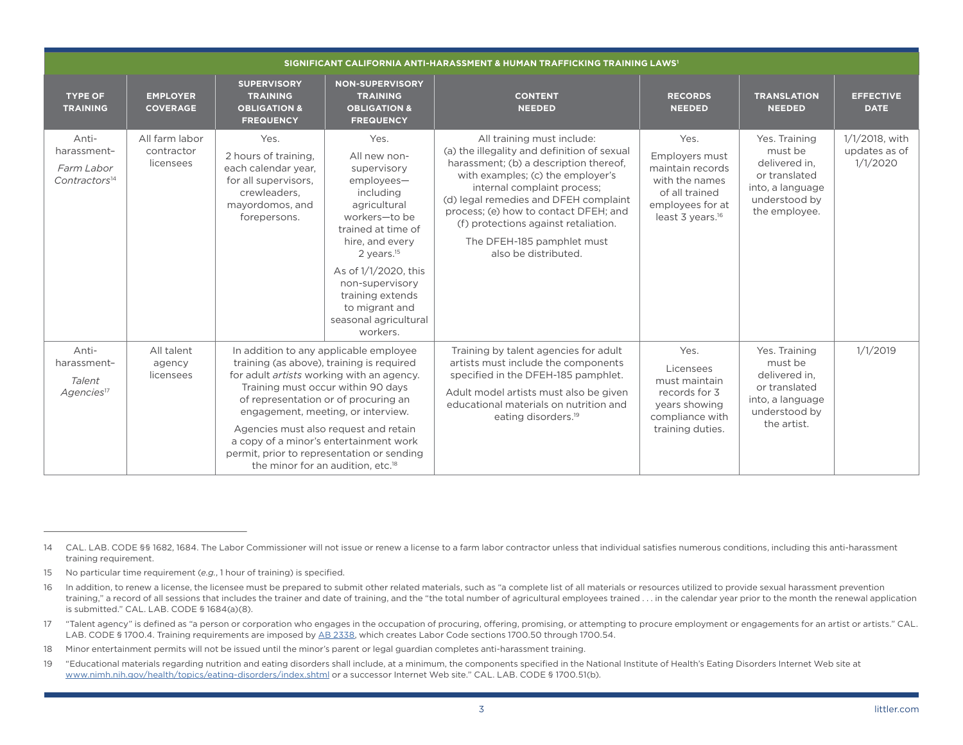| SIGNIFICANT CALIFORNIA ANTI-HARASSMENT & HUMAN TRAFFICKING TRAINING LAWS <sup>1</sup> |                                           |                                                                                                                                                                                                                                                                                                                                                                                                                                               |                                                                                                                                                                                                                                                                                               |                                                                                                                                                                                                                                                                                                                                                                         |                                                                                                                                    |                                                                                                                  |                                             |
|---------------------------------------------------------------------------------------|-------------------------------------------|-----------------------------------------------------------------------------------------------------------------------------------------------------------------------------------------------------------------------------------------------------------------------------------------------------------------------------------------------------------------------------------------------------------------------------------------------|-----------------------------------------------------------------------------------------------------------------------------------------------------------------------------------------------------------------------------------------------------------------------------------------------|-------------------------------------------------------------------------------------------------------------------------------------------------------------------------------------------------------------------------------------------------------------------------------------------------------------------------------------------------------------------------|------------------------------------------------------------------------------------------------------------------------------------|------------------------------------------------------------------------------------------------------------------|---------------------------------------------|
| <b>TYPE OF</b><br><b>TRAINING</b>                                                     | <b>EMPLOYER</b><br><b>COVERAGE</b>        | <b>SUPERVISORY</b><br><b>TRAINING</b><br><b>OBLIGATION &amp;</b><br><b>FREQUENCY</b>                                                                                                                                                                                                                                                                                                                                                          | <b>NON-SUPERVISORY</b><br><b>TRAINING</b><br><b>OBLIGATION &amp;</b><br><b>FREQUENCY</b>                                                                                                                                                                                                      | <b>CONTENT</b><br><b>NEEDED</b>                                                                                                                                                                                                                                                                                                                                         | <b>RECORDS</b><br><b>NEEDED</b>                                                                                                    | <b>TRANSLATION</b><br><b>NEEDED</b>                                                                              | <b>EFFECTIVE</b><br><b>DATE</b>             |
| Anti-<br>harassment-<br>Farm Labor<br>Contractors <sup>14</sup>                       | All farm labor<br>contractor<br>licensees | Yes.<br>2 hours of training,<br>each calendar year,<br>for all supervisors.<br>crewleaders.<br>mayordomos, and<br>forepersons.                                                                                                                                                                                                                                                                                                                | Yes.<br>All new non-<br>supervisory<br>employees-<br>including<br>agricultural<br>workers-to be<br>trained at time of<br>hire, and every<br>$2$ years. <sup>15</sup><br>As of $1/1/2020$ , this<br>non-supervisory<br>training extends<br>to migrant and<br>seasonal agricultural<br>workers. | All training must include:<br>(a) the illegality and definition of sexual<br>harassment; (b) a description thereof,<br>with examples; (c) the employer's<br>internal complaint process;<br>(d) legal remedies and DFEH complaint<br>process; (e) how to contact DFEH; and<br>(f) protections against retaliation.<br>The DFEH-185 pamphlet must<br>also be distributed. | Yes.<br>Employers must<br>maintain records<br>with the names<br>of all trained<br>employees for at<br>least 3 years. <sup>16</sup> | Yes. Training<br>must be<br>delivered in,<br>or translated<br>into, a language<br>understood by<br>the employee. | 1/1/2018, with<br>updates as of<br>1/1/2020 |
| Anti-<br>harassment-<br>Talent<br>Agencies <sup>17</sup>                              | All talent<br>agency<br>licensees         | In addition to any applicable employee<br>training (as above), training is required<br>for adult <i>artists</i> working with an agency.<br>Training must occur within 90 days<br>of representation or of procuring an<br>engagement, meeting, or interview.<br>Agencies must also request and retain<br>a copy of a minor's entertainment work<br>permit, prior to representation or sending<br>the minor for an audition, etc. <sup>18</sup> |                                                                                                                                                                                                                                                                                               | Training by talent agencies for adult<br>artists must include the components<br>specified in the DFEH-185 pamphlet.<br>Adult model artists must also be given<br>educational materials on nutrition and<br>eating disorders. <sup>19</sup>                                                                                                                              | Yes.<br>Licensees<br>must maintain<br>records for 3<br>years showing<br>compliance with<br>training duties.                        | Yes. Training<br>must be<br>delivered in,<br>or translated<br>into, a language<br>understood by<br>the artist.   | 1/1/2019                                    |

<sup>14</sup> CAL. LAB. CODE §§ 1682, 1684. The Labor Commissioner will not issue or renew a license to a farm labor contractor unless that individual satisfies numerous conditions, including this anti-harassment training requirement.

<sup>15</sup> No particular time requirement (*e.g.*, 1 hour of training) is specified.

<sup>16</sup> In addition, to renew a license, the licensee must be prepared to submit other related materials, such as "a complete list of all materials or resources utilized to provide sexual harassment prevention training," a record of all sessions that includes the trainer and date of training, and the "the total number of agricultural employees trained . . . in the calendar year prior to the month the renewal application is submitted." CAL. LAB. CODE § 1684(a)(8).

<sup>17</sup> "Talent agency" is defined as "a person or corporation who engages in the occupation of procuring, offering, promising, or attempting to procure employment or engagements for an artist or artists." CAL. LAB. CODE § 1700.4. Training requirements are imposed by [AB 2338,](http://leginfo.legislature.ca.gov/faces/billTextClient.xhtml?bill_id=201720180AB2338) which creates Labor Code sections 1700.50 through 1700.54.

<sup>18</sup> Minor entertainment permits will not be issued until the minor's parent or legal guardian completes anti-harassment training.

<sup>19</sup> "Educational materials regarding nutrition and eating disorders shall include, at a minimum, the components specified in the National Institute of Health's Eating Disorders Internet Web site at [www.nimh.nih.gov/health/topics/eating-disorders/index.shtml](http://www.nimh.nih.gov/health/topics/eating-disorders/index.shtml) or a successor Internet Web site." CAL. LAB. CODE § 1700.51(b).